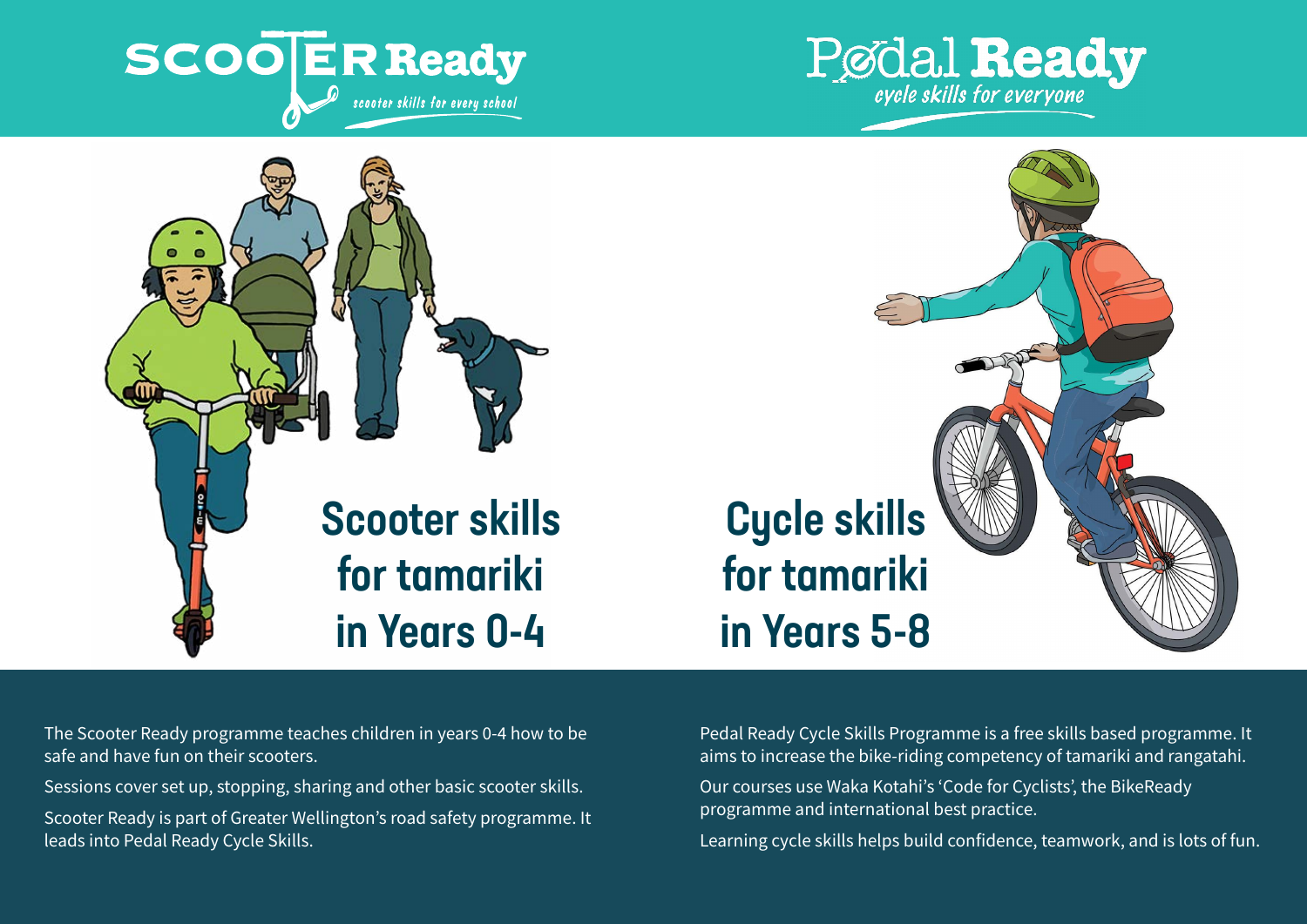





# Cycle skills for tamariki in Years 5-8

The Scooter Ready programme teaches children in years 0-4 how to be safe and have fun on their scooters.

Sessions cover set up, stopping, sharing and other basic scooter skills.

Scooter Ready is part of Greater Wellington's road safety programme. It leads into Pedal Ready Cycle Skills.

Pedal Ready Cycle Skills Programme is a free skills based programme. It aims to increase the bike-riding competency of tamariki and rangatahi.

Our courses use Waka Kotahi's 'Code for Cyclists', the BikeReady programme and international best practice.

Learning cycle skills helps build confidence, teamwork, and is lots of fun.